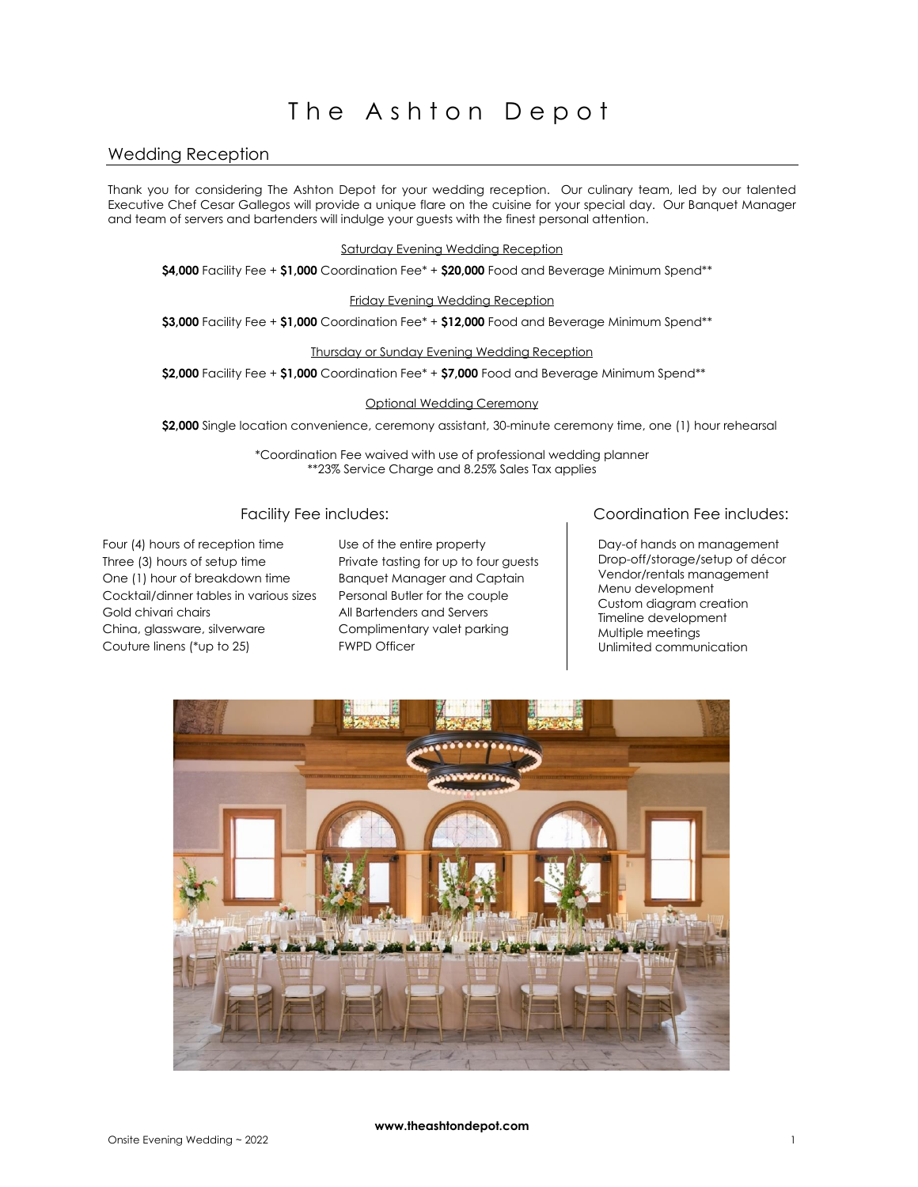### Wedding Reception

Thank you for considering The Ashton Depot for your wedding reception. Our culinary team, led by our talented Executive Chef Cesar Gallegos will provide a unique flare on the cuisine for your special day. Our Banquet Manager and team of servers and bartenders will indulge your guests with the finest personal attention.

#### Saturday Evening Wedding Reception

**\$4,000** Facility Fee + **\$1,000** Coordination Fee\* + **\$20,000** Food and Beverage Minimum Spend\*\*

#### Friday Evening Wedding Reception

**\$3,000** Facility Fee + **\$1,000** Coordination Fee\* + **\$12,000** Food and Beverage Minimum Spend\*\*

#### Thursday or Sunday Evening Wedding Reception

**\$2,000** Facility Fee + **\$1,000** Coordination Fee\* + **\$7,000** Food and Beverage Minimum Spend\*\*

#### Optional Wedding Ceremony

\$2,000 Single location convenience, ceremony assistant, 30-minute ceremony time, one (1) hour rehearsal

\*Coordination Fee waived with use of professional wedding planner \*\*23% Service Charge and 8.25% Sales Tax applies

Four (4) hours of reception time Three (3) hours of setup time One (1) hour of breakdown time Cocktail/dinner tables in various sizes Gold chivari chairs China, glassware, silverware Couture linens (\*up to 25)

Use of the entire property Private tasting for up to four guests Banquet Manager and Captain Personal Butler for the couple All Bartenders and Servers Complimentary valet parking FWPD Officer

# Facility Fee includes: Coordination Fee includes:

 Day-of hands on management Drop-off/storage/setup of décor Vendor/rentals management Menu development Custom diagram creation Timeline development Multiple meetings Unlimited communication

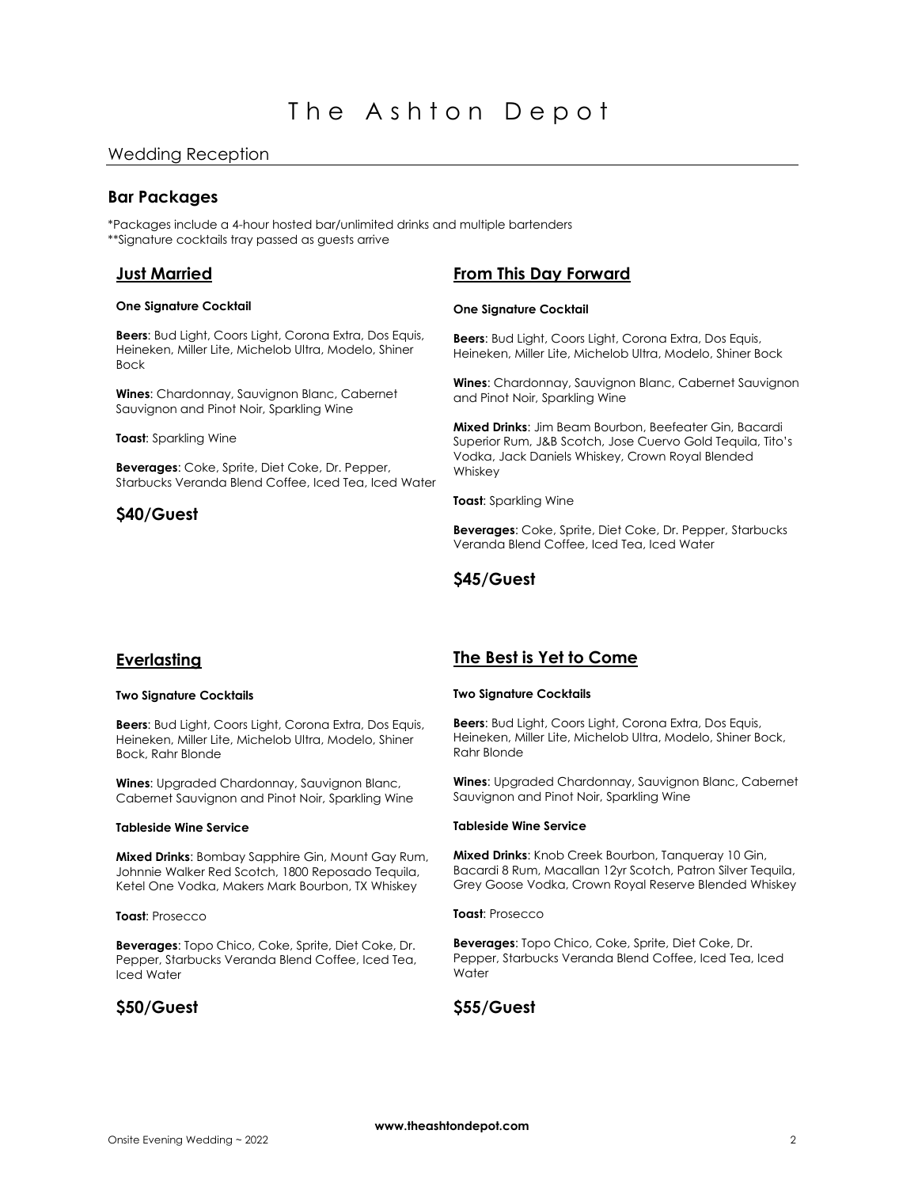# **Bar Packages**

\*Packages include a 4-hour hosted bar/unlimited drinks and multiple bartenders \*\*Signature cocktails tray passed as guests arrive

# **Just Married**

#### **One Signature Cocktail**

**Beers**: Bud Light, Coors Light, Corona Extra, Dos Equis, Heineken, Miller Lite, Michelob Ultra, Modelo, Shiner Bock

**Wines**: Chardonnay, Sauvignon Blanc, Cabernet Sauvignon and Pinot Noir, Sparkling Wine

#### **Toast**: Sparkling Wine

**Beverages**: Coke, Sprite, Diet Coke, Dr. Pepper, Starbucks Veranda Blend Coffee, Iced Tea, Iced Water

# **\$40/Guest**

# **From This Day Forward**

#### **One Signature Cocktail**

**Beers**: Bud Light, Coors Light, Corona Extra, Dos Equis, Heineken, Miller Lite, Michelob Ultra, Modelo, Shiner Bock

**Wines**: Chardonnay, Sauvignon Blanc, Cabernet Sauvignon and Pinot Noir, Sparkling Wine

**Mixed Drinks**: Jim Beam Bourbon, Beefeater Gin, Bacardi Superior Rum, J&B Scotch, Jose Cuervo Gold Tequila, Tito's Vodka, Jack Daniels Whiskey, Crown Royal Blended Whiskey

**Toast**: Sparkling Wine

**Beverages**: Coke, Sprite, Diet Coke, Dr. Pepper, Starbucks Veranda Blend Coffee, Iced Tea, Iced Water

# **\$45/Guest**

# **Everlasting**

#### **Two Signature Cocktails**

**Beers**: Bud Light, Coors Light, Corona Extra, Dos Equis, Heineken, Miller Lite, Michelob Ultra, Modelo, Shiner Bock, Rahr Blonde

**Wines**: Upgraded Chardonnay, Sauvignon Blanc, Cabernet Sauvignon and Pinot Noir, Sparkling Wine

#### **Tableside Wine Service**

**Mixed Drinks**: Bombay Sapphire Gin, Mount Gay Rum, Johnnie Walker Red Scotch, 1800 Reposado Tequila, Ketel One Vodka, Makers Mark Bourbon, TX Whiskey

#### **Toast**: Prosecco

**Beverages**: Topo Chico, Coke, Sprite, Diet Coke, Dr. Pepper, Starbucks Veranda Blend Coffee, Iced Tea, Iced Water

# **\$50/Guest**

# **The Best is Yet to Come**

#### **Two Signature Cocktails**

**Beers**: Bud Light, Coors Light, Corona Extra, Dos Equis, Heineken, Miller Lite, Michelob Ultra, Modelo, Shiner Bock, Rahr Blonde

**Wines**: Upgraded Chardonnay, Sauvignon Blanc, Cabernet Sauvignon and Pinot Noir, Sparkling Wine

#### **Tableside Wine Service**

**Mixed Drinks**: Knob Creek Bourbon, Tanqueray 10 Gin, Bacardi 8 Rum, Macallan 12yr Scotch, Patron Silver Tequila, Grey Goose Vodka, Crown Royal Reserve Blended Whiskey

#### **Toast**: Prosecco

**Beverages**: Topo Chico, Coke, Sprite, Diet Coke, Dr. Pepper, Starbucks Veranda Blend Coffee, Iced Tea, Iced **Water** 

# **\$55/Guest**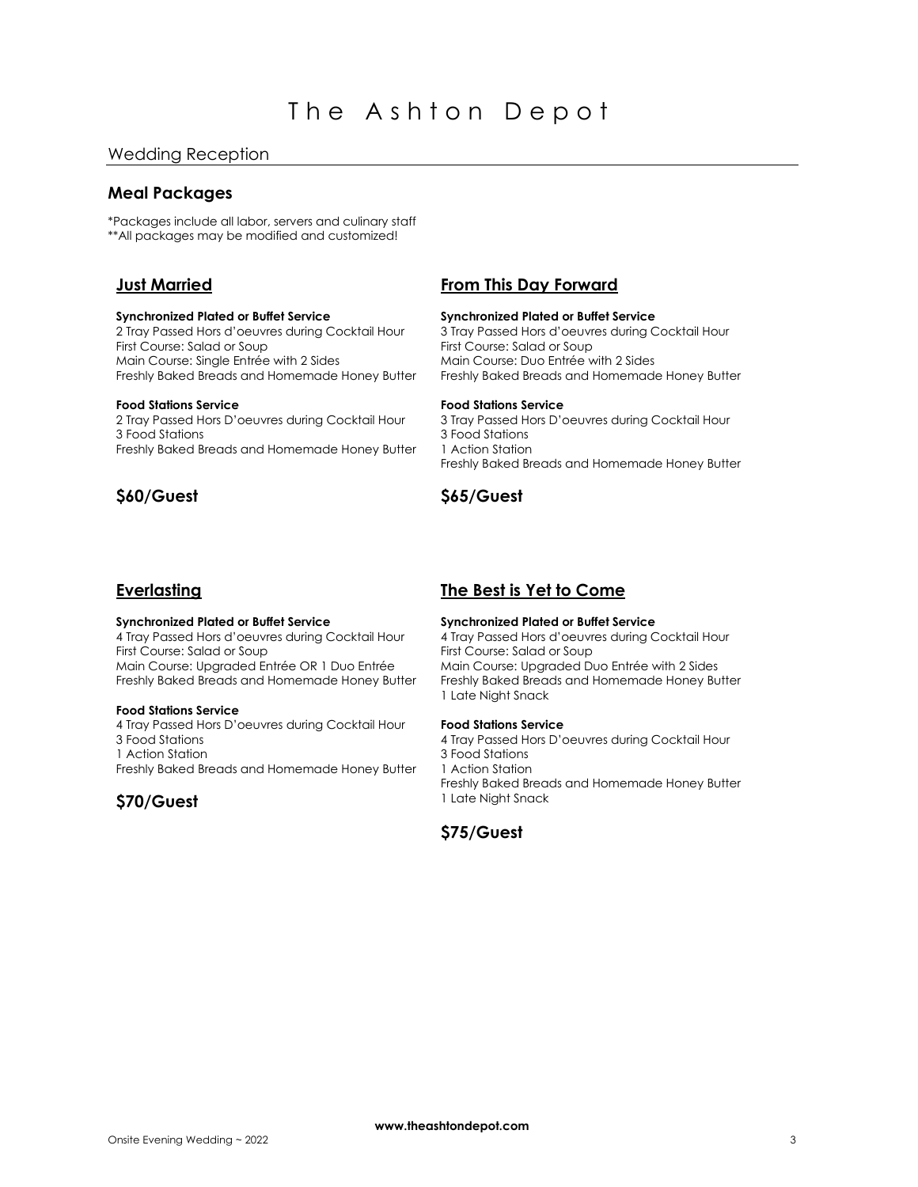# **Meal Packages**

\*Packages include all labor, servers and culinary staff \*\*All packages may be modified and customized!

# **Just Married**

#### **Synchronized Plated or Buffet Service**

2 Tray Passed Hors d'oeuvres during Cocktail Hour First Course: Salad or Soup Main Course: Single Entrée with 2 Sides Freshly Baked Breads and Homemade Honey Butter

#### **Food Stations Service**

2 Tray Passed Hors D'oeuvres during Cocktail Hour 3 Food Stations Freshly Baked Breads and Homemade Honey Butter

# **\$60/Guest**

# **From This Day Forward**

#### **Synchronized Plated or Buffet Service**

3 Tray Passed Hors d'oeuvres during Cocktail Hour First Course: Salad or Soup Main Course: Duo Entrée with 2 Sides Freshly Baked Breads and Homemade Honey Butter

#### **Food Stations Service**

3 Tray Passed Hors D'oeuvres during Cocktail Hour 3 Food Stations 1 Action Station Freshly Baked Breads and Homemade Honey Butter

# **\$65/Guest**

# **Everlasting**

#### **Synchronized Plated or Buffet Service**

4 Tray Passed Hors d'oeuvres during Cocktail Hour First Course: Salad or Soup Main Course: Upgraded Entrée OR 1 Duo Entrée Freshly Baked Breads and Homemade Honey Butter

#### **Food Stations Service**

4 Tray Passed Hors D'oeuvres during Cocktail Hour 3 Food Stations 1 Action Station Freshly Baked Breads and Homemade Honey Butter

# **\$70/Guest**

# **The Best is Yet to Come**

#### **Synchronized Plated or Buffet Service**

4 Tray Passed Hors d'oeuvres during Cocktail Hour First Course: Salad or Soup Main Course: Upgraded Duo Entrée with 2 Sides Freshly Baked Breads and Homemade Honey Butter 1 Late Night Snack

#### **Food Stations Service**

4 Tray Passed Hors D'oeuvres during Cocktail Hour 3 Food Stations 1 Action Station Freshly Baked Breads and Homemade Honey Butter 1 Late Night Snack

# **\$75/Guest**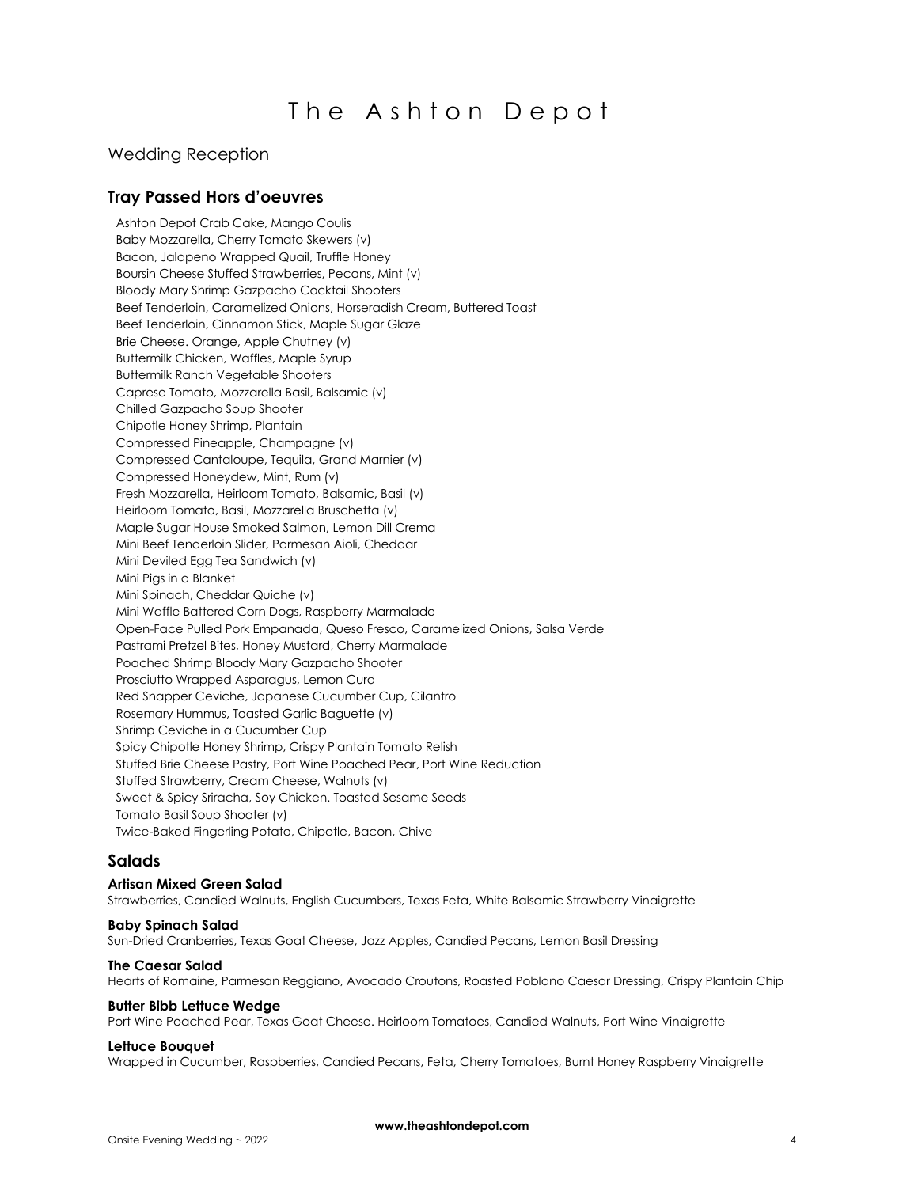### Wedding Reception

### **Tray Passed Hors d'oeuvres**

Ashton Depot Crab Cake, Mango Coulis Baby Mozzarella, Cherry Tomato Skewers (v) Bacon, Jalapeno Wrapped Quail, Truffle Honey Boursin Cheese Stuffed Strawberries, Pecans, Mint (v) Bloody Mary Shrimp Gazpacho Cocktail Shooters Beef Tenderloin, Caramelized Onions, Horseradish Cream, Buttered Toast Beef Tenderloin, Cinnamon Stick, Maple Sugar Glaze Brie Cheese. Orange, Apple Chutney (v) Buttermilk Chicken, Waffles, Maple Syrup Buttermilk Ranch Vegetable Shooters Caprese Tomato, Mozzarella Basil, Balsamic (v) Chilled Gazpacho Soup Shooter Chipotle Honey Shrimp, Plantain Compressed Pineapple, Champagne (v) Compressed Cantaloupe, Tequila, Grand Marnier (v) Compressed Honeydew, Mint, Rum (v) Fresh Mozzarella, Heirloom Tomato, Balsamic, Basil (v) Heirloom Tomato, Basil, Mozzarella Bruschetta (v) Maple Sugar House Smoked Salmon, Lemon Dill Crema Mini Beef Tenderloin Slider, Parmesan Aioli, Cheddar Mini Deviled Egg Tea Sandwich (v) Mini Pigs in a Blanket Mini Spinach, Cheddar Quiche (v) Mini Waffle Battered Corn Dogs, Raspberry Marmalade Open-Face Pulled Pork Empanada, Queso Fresco, Caramelized Onions, Salsa Verde Pastrami Pretzel Bites, Honey Mustard, Cherry Marmalade Poached Shrimp Bloody Mary Gazpacho Shooter Prosciutto Wrapped Asparagus, Lemon Curd Red Snapper Ceviche, Japanese Cucumber Cup, Cilantro Rosemary Hummus, Toasted Garlic Baguette (v) Shrimp Ceviche in a Cucumber Cup Spicy Chipotle Honey Shrimp, Crispy Plantain Tomato Relish Stuffed Brie Cheese Pastry, Port Wine Poached Pear, Port Wine Reduction Stuffed Strawberry, Cream Cheese, Walnuts (v) Sweet & Spicy Sriracha, Soy Chicken. Toasted Sesame Seeds Tomato Basil Soup Shooter (v) Twice-Baked Fingerling Potato, Chipotle, Bacon, Chive

### **Salads**

#### **Artisan Mixed Green Salad**

Strawberries, Candied Walnuts, English Cucumbers, Texas Feta, White Balsamic Strawberry Vinaigrette

#### **Baby Spinach Salad**

Sun-Dried Cranberries, Texas Goat Cheese, Jazz Apples, Candied Pecans, Lemon Basil Dressing

#### **The Caesar Salad**

Hearts of Romaine, Parmesan Reggiano, Avocado Croutons, Roasted Poblano Caesar Dressing, Crispy Plantain Chip

#### **Butter Bibb Lettuce Wedge**

Port Wine Poached Pear, Texas Goat Cheese. Heirloom Tomatoes, Candied Walnuts, Port Wine Vinaigrette

#### **Lettuce Bouquet**

Wrapped in Cucumber, Raspberries, Candied Pecans, Feta, Cherry Tomatoes, Burnt Honey Raspberry Vinaigrette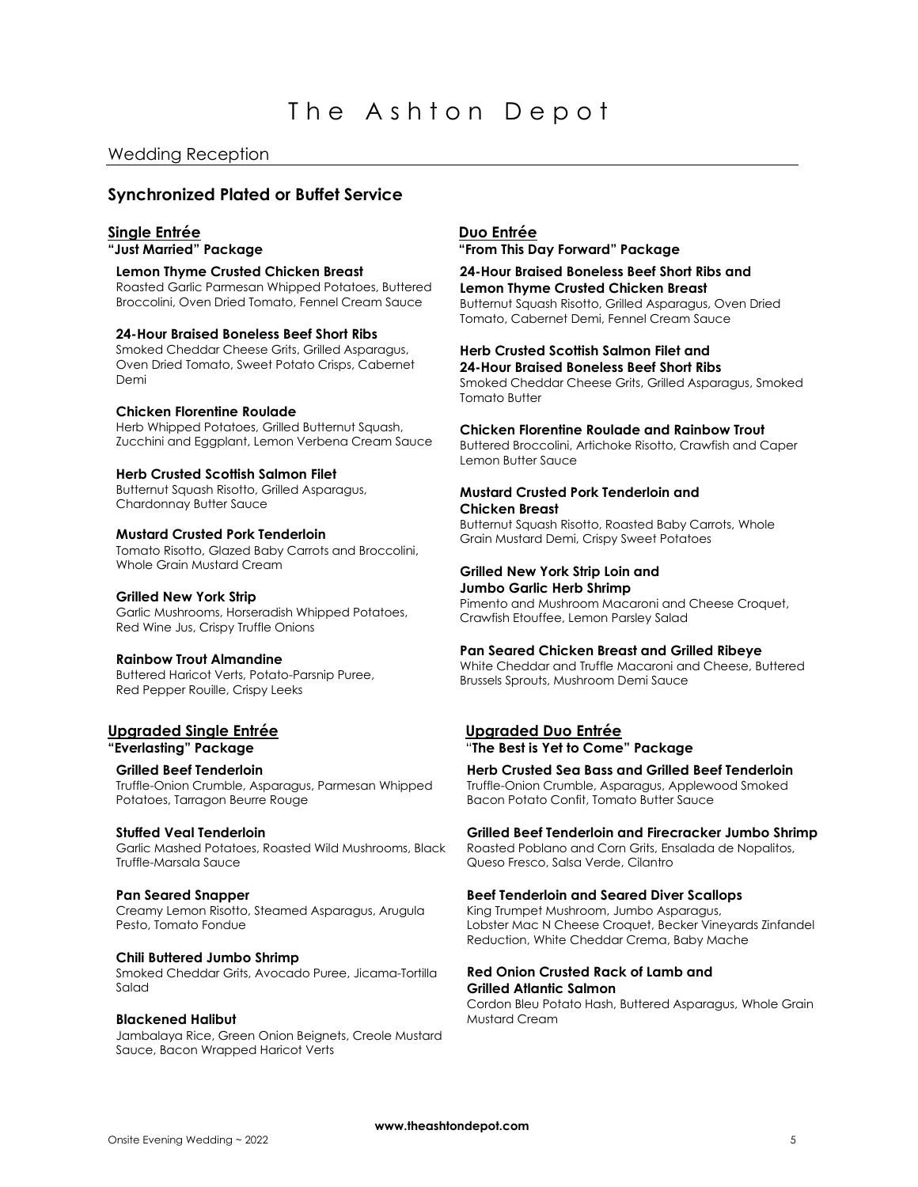# **Synchronized Plated or Buffet Service**

#### **Single Entrée Duo Entrée**

#### **Lemon Thyme Crusted Chicken Breast**

Roasted Garlic Parmesan Whipped Potatoes, Buttered Broccolini, Oven Dried Tomato, Fennel Cream Sauce

#### **24-Hour Braised Boneless Beef Short Ribs**

Smoked Cheddar Cheese Grits, Grilled Asparagus, Oven Dried Tomato, Sweet Potato Crisps, Cabernet Demi

#### **Chicken Florentine Roulade**

Herb Whipped Potatoes, Grilled Butternut Squash, Zucchini and Eggplant, Lemon Verbena Cream Sauce

#### **Herb Crusted Scottish Salmon Filet**

Butternut Squash Risotto, Grilled Asparagus, Chardonnay Butter Sauce

#### **Mustard Crusted Pork Tenderloin**

Tomato Risotto, Glazed Baby Carrots and Broccolini, Whole Grain Mustard Cream

#### **Grilled New York Strip**

Garlic Mushrooms, Horseradish Whipped Potatoes, Red Wine Jus, Crispy Truffle Onions

#### **Rainbow Trout Almandine**

Buttered Haricot Verts, Potato-Parsnip Puree, Red Pepper Rouille, Crispy Leeks

# **Upgraded Single Entrée Upgraded Duo Entrée**

#### **Grilled Beef Tenderloin**

Truffle-Onion Crumble, Asparagus, Parmesan Whipped Potatoes, Tarragon Beurre Rouge

#### **Stuffed Veal Tenderloin**

Garlic Mashed Potatoes, Roasted Wild Mushrooms, Black Truffle-Marsala Sauce

#### **Pan Seared Snapper**

Creamy Lemon Risotto, Steamed Asparagus, Arugula Pesto, Tomato Fondue

#### **Chili Buttered Jumbo Shrimp**

Smoked Cheddar Grits, Avocado Puree, Jicama-Tortilla Salad

#### **Blackened Halibut**

Jambalaya Rice, Green Onion Beignets, Creole Mustard Sauce, Bacon Wrapped Haricot Verts

**"Just Married" Package "From This Day Forward" Package**

# **24-Hour Braised Boneless Beef Short Ribs and**

**Lemon Thyme Crusted Chicken Breast** Butternut Squash Risotto, Grilled Asparagus, Oven Dried Tomato, Cabernet Demi, Fennel Cream Sauce

#### **Herb Crusted Scottish Salmon Filet and 24-Hour Braised Boneless Beef Short Ribs**

Smoked Cheddar Cheese Grits, Grilled Asparagus, Smoked Tomato Butter

# **Chicken Florentine Roulade and Rainbow Trout**

Buttered Broccolini, Artichoke Risotto, Crawfish and Caper Lemon Butter Sauce

#### **Mustard Crusted Pork Tenderloin and Chicken Breast**

Butternut Squash Risotto, Roasted Baby Carrots, Whole Grain Mustard Demi, Crispy Sweet Potatoes

#### **Grilled New York Strip Loin and Jumbo Garlic Herb Shrimp**

Pimento and Mushroom Macaroni and Cheese Croquet, Crawfish Etouffee, Lemon Parsley Salad

#### **Pan Seared Chicken Breast and Grilled Ribeye**

White Cheddar and Truffle Macaroni and Cheese, Buttered Brussels Sprouts, Mushroom Demi Sauce

# **"Everlasting" Package** "**The Best is Yet to Come" Package**

**Herb Crusted Sea Bass and Grilled Beef Tenderloin**

Truffle-Onion Crumble, Asparagus, Applewood Smoked Bacon Potato Confit, Tomato Butter Sauce

#### **Grilled Beef Tenderloin and Firecracker Jumbo Shrimp**

Roasted Poblano and Corn Grits, Ensalada de Nopalitos, Queso Fresco, Salsa Verde, Cilantro

#### **Beef Tenderloin and Seared Diver Scallops**

King Trumpet Mushroom, Jumbo Asparagus, Lobster Mac N Cheese Croquet, Becker Vineyards Zinfandel Reduction, White Cheddar Crema, Baby Mache

#### **Red Onion Crusted Rack of Lamb and Grilled Atlantic Salmon**

Cordon Bleu Potato Hash, Buttered Asparagus, Whole Grain Mustard Cream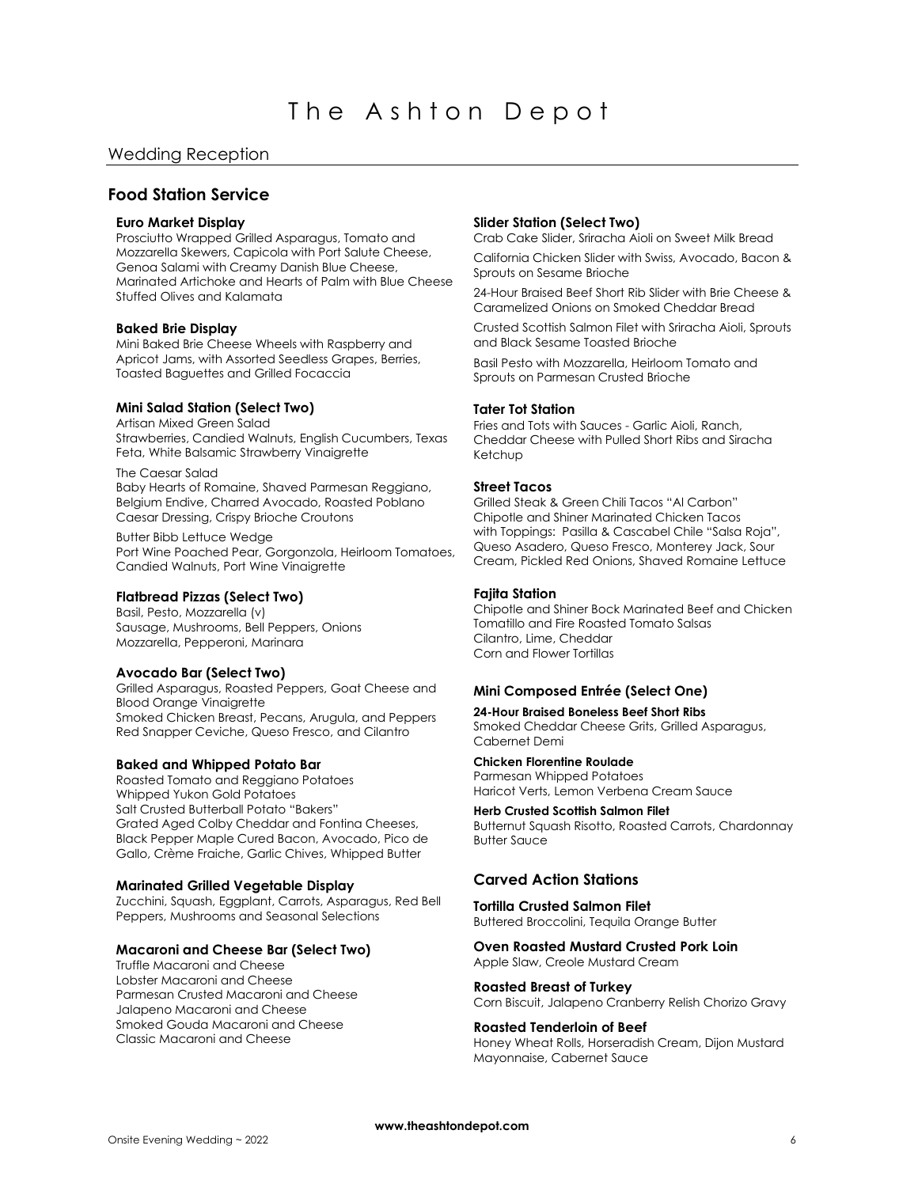# **Food Station Service**

#### **Euro Market Display**

Prosciutto Wrapped Grilled Asparagus, Tomato and Mozzarella Skewers, Capicola with Port Salute Cheese, Genoa Salami with Creamy Danish Blue Cheese, Marinated Artichoke and Hearts of Palm with Blue Cheese Stuffed Olives and Kalamata

#### **Baked Brie Display**

Mini Baked Brie Cheese Wheels with Raspberry and Apricot Jams, with Assorted Seedless Grapes, Berries, Toasted Baguettes and Grilled Focaccia

# **Mini Salad Station (Select Two)**

Artisan Mixed Green Salad Strawberries, Candied Walnuts, English Cucumbers, Texas Feta, White Balsamic Strawberry Vinaigrette

The Caesar Salad Baby Hearts of Romaine, Shaved Parmesan Reggiano, Belgium Endive, Charred Avocado, Roasted Poblano Caesar Dressing, Crispy Brioche Croutons

Butter Bibb Lettuce Wedge Port Wine Poached Pear, Gorgonzola, Heirloom Tomatoes, Candied Walnuts, Port Wine Vinaigrette

#### **Flatbread Pizzas (Select Two)**

Basil, Pesto, Mozzarella (v) Sausage, Mushrooms, Bell Peppers, Onions Mozzarella, Pepperoni, Marinara

#### **Avocado Bar (Select Two)**

Grilled Asparagus, Roasted Peppers, Goat Cheese and Blood Orange Vinaigrette Smoked Chicken Breast, Pecans, Arugula, and Peppers Red Snapper Ceviche, Queso Fresco, and Cilantro

#### **Baked and Whipped Potato Bar**

Roasted Tomato and Reggiano Potatoes Whipped Yukon Gold Potatoes Salt Crusted Butterball Potato "Bakers" Grated Aged Colby Cheddar and Fontina Cheeses, Black Pepper Maple Cured Bacon, Avocado, Pico de Gallo, Crème Fraiche, Garlic Chives, Whipped Butter

#### **Marinated Grilled Vegetable Display**

Zucchini, Squash, Eggplant, Carrots, Asparagus, Red Bell Peppers, Mushrooms and Seasonal Selections

#### **Macaroni and Cheese Bar (Select Two)**

Truffle Macaroni and Cheese Lobster Macaroni and Cheese Parmesan Crusted Macaroni and Cheese Jalapeno Macaroni and Cheese Smoked Gouda Macaroni and Cheese Classic Macaroni and Cheese

#### **Slider Station (Select Two)**

Crab Cake Slider, Sriracha Aioli on Sweet Milk Bread California Chicken Slider with Swiss, Avocado, Bacon & Sprouts on Sesame Brioche

24-Hour Braised Beef Short Rib Slider with Brie Cheese & Caramelized Onions on Smoked Cheddar Bread

Crusted Scottish Salmon Filet with Sriracha Aioli, Sprouts and Black Sesame Toasted Brioche

Basil Pesto with Mozzarella, Heirloom Tomato and Sprouts on Parmesan Crusted Brioche

#### **Tater Tot Station**

Fries and Tots with Sauces - Garlic Aioli, Ranch, Cheddar Cheese with Pulled Short Ribs and Siracha Ketchup

#### **Street Tacos**

Grilled Steak & Green Chili Tacos "Al Carbon" Chipotle and Shiner Marinated Chicken Tacos with Toppings: Pasilla & Cascabel Chile "Salsa Roja", Queso Asadero, Queso Fresco, Monterey Jack, Sour Cream, Pickled Red Onions, Shaved Romaine Lettuce

#### **Fajita Station**

Chipotle and Shiner Bock Marinated Beef and Chicken Tomatillo and Fire Roasted Tomato Salsas Cilantro, Lime, Cheddar Corn and Flower Tortillas

### **Mini Composed Entrée (Select One)**

#### **24-Hour Braised Boneless Beef Short Ribs** Smoked Cheddar Cheese Grits, Grilled Asparagus,

Cabernet Demi

# **Chicken Florentine Roulade**

Parmesan Whipped Potatoes Haricot Verts, Lemon Verbena Cream Sauce

**Herb Crusted Scottish Salmon Filet** Butternut Squash Risotto, Roasted Carrots, Chardonnay Butter Sauce

# **Carved Action Stations**

**Tortilla Crusted Salmon Filet**  Buttered Broccolini, Tequila Orange Butter

# **Oven Roasted Mustard Crusted Pork Loin**

Apple Slaw, Creole Mustard Cream

### **Roasted Breast of Turkey**

Corn Biscuit, Jalapeno Cranberry Relish Chorizo Gravy

#### **Roasted Tenderloin of Beef**

Honey Wheat Rolls, Horseradish Cream, Dijon Mustard Mayonnaise, Cabernet Sauce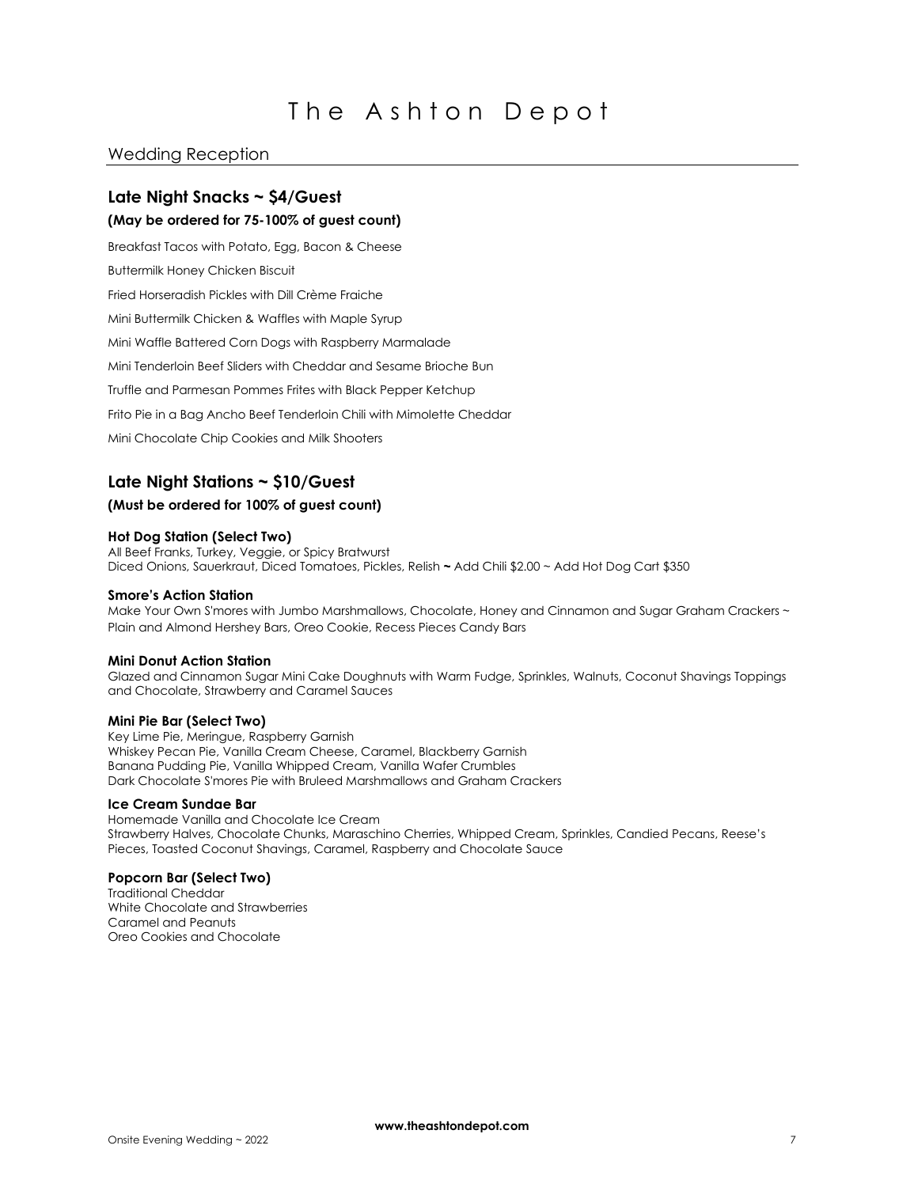# Wedding Reception

# **Late Night Snacks ~ \$4/Guest**

# **(May be ordered for 75-100% of guest count)**

Breakfast Tacos with Potato, Egg, Bacon & Cheese Buttermilk Honey Chicken Biscuit Fried Horseradish Pickles with Dill Crème Fraiche Mini Buttermilk Chicken & Waffles with Maple Syrup Mini Waffle Battered Corn Dogs with Raspberry Marmalade Mini Tenderloin Beef Sliders with Cheddar and Sesame Brioche Bun Truffle and Parmesan Pommes Frites with Black Pepper Ketchup Frito Pie in a Bag Ancho Beef Tenderloin Chili with Mimolette Cheddar Mini Chocolate Chip Cookies and Milk Shooters

# **Late Night Stations ~ \$10/Guest**

#### **(Must be ordered for 100% of guest count)**

#### **Hot Dog Station (Select Two)**

All Beef Franks, Turkey, Veggie, or Spicy Bratwurst Diced Onions, Sauerkraut, Diced Tomatoes, Pickles, Relish **~** Add Chili \$2.00 ~ Add Hot Dog Cart \$350

#### **Smore's Action Station**

Make Your Own S'mores with Jumbo Marshmallows, Chocolate, Honey and Cinnamon and Sugar Graham Crackers ~ Plain and Almond Hershey Bars, Oreo Cookie, Recess Pieces Candy Bars

#### **Mini Donut Action Station**

Glazed and Cinnamon Sugar Mini Cake Doughnuts with Warm Fudge, Sprinkles, Walnuts, Coconut Shavings Toppings and Chocolate, Strawberry and Caramel Sauces

#### **Mini Pie Bar (Select Two)**

Key Lime Pie, Meringue, Raspberry Garnish Whiskey Pecan Pie, Vanilla Cream Cheese, Caramel, Blackberry Garnish Banana Pudding Pie, Vanilla Whipped Cream, Vanilla Wafer Crumbles Dark Chocolate S'mores Pie with Bruleed Marshmallows and Graham Crackers

# **Ice Cream Sundae Bar**

Homemade Vanilla and Chocolate Ice Cream Strawberry Halves, Chocolate Chunks, Maraschino Cherries, Whipped Cream, Sprinkles, Candied Pecans, Reese's Pieces, Toasted Coconut Shavings, Caramel, Raspberry and Chocolate Sauce

#### **Popcorn Bar (Select Two)**

Traditional Cheddar White Chocolate and Strawberries Caramel and Peanuts Oreo Cookies and Chocolate